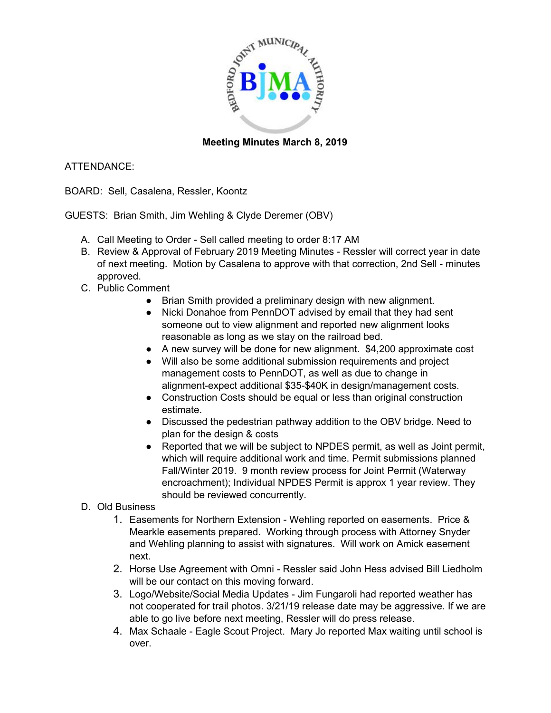

## **Meeting Minutes March 8, 2019**

## ATTENDANCE:

BOARD: Sell, Casalena, Ressler, Koontz

GUESTS: Brian Smith, Jim Wehling & Clyde Deremer (OBV)

- A. Call Meeting to Order Sell called meeting to order 8:17 AM
- B. Review & Approval of February 2019 Meeting Minutes Ressler will correct year in date of next meeting. Motion by Casalena to approve with that correction, 2nd Sell - minutes approved.
- C. Public Comment
	- Brian Smith provided a preliminary design with new alignment.
	- Nicki Donahoe from PennDOT advised by email that they had sent someone out to view alignment and reported new alignment looks reasonable as long as we stay on the railroad bed.
	- A new survey will be done for new alignment. \$4,200 approximate cost
	- Will also be some additional submission requirements and project management costs to PennDOT, as well as due to change in alignment-expect additional \$35-\$40K in design/management costs.
	- Construction Costs should be equal or less than original construction estimate.
	- Discussed the pedestrian pathway addition to the OBV bridge. Need to plan for the design & costs
	- Reported that we will be subject to NPDES permit, as well as Joint permit, which will require additional work and time. Permit submissions planned Fall/Winter 2019. 9 month review process for Joint Permit (Waterway encroachment); Individual NPDES Permit is approx 1 year review. They should be reviewed concurrently.
- D. Old Business
	- 1. Easements for Northern Extension Wehling reported on easements. Price & Mearkle easements prepared. Working through process with Attorney Snyder and Wehling planning to assist with signatures. Will work on Amick easement next.
	- 2. Horse Use Agreement with Omni Ressler said John Hess advised Bill Liedholm will be our contact on this moving forward.
	- 3. Logo/Website/Social Media Updates Jim Fungaroli had reported weather has not cooperated for trail photos. 3/21/19 release date may be aggressive. If we are able to go live before next meeting, Ressler will do press release.
	- 4. Max Schaale Eagle Scout Project. Mary Jo reported Max waiting until school is over.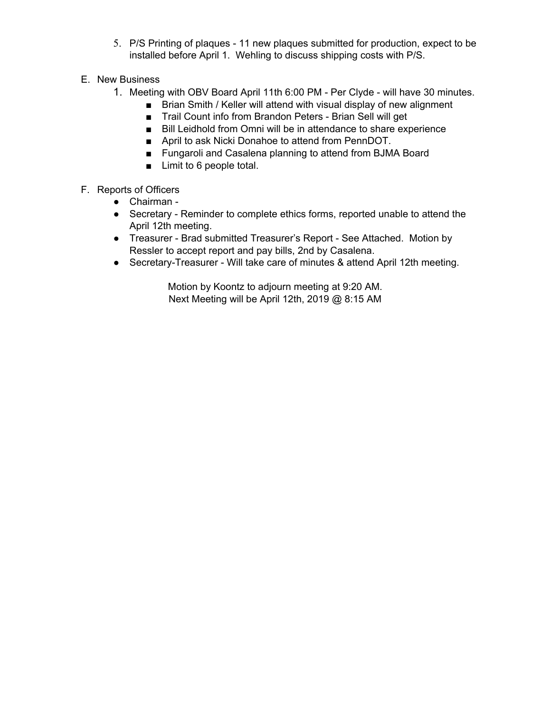- 5. P/S Printing of plaques 11 new plaques submitted for production, expect to be installed before April 1. Wehling to discuss shipping costs with P/S.
- E. New Business
	- 1. Meeting with OBV Board April 11th 6:00 PM Per Clyde will have 30 minutes.
		- Brian Smith / Keller will attend with visual display of new alignment
		- Trail Count info from Brandon Peters Brian Sell will get
		- Bill Leidhold from Omni will be in attendance to share experience
		- April to ask Nicki Donahoe to attend from PennDOT.
		- Fungaroli and Casalena planning to attend from BJMA Board
		- Limit to 6 people total.
- F. Reports of Officers
	- Chairman -
	- Secretary Reminder to complete ethics forms, reported unable to attend the April 12th meeting.
	- Treasurer Brad submitted Treasurer's Report See Attached. Motion by Ressler to accept report and pay bills, 2nd by Casalena.
	- Secretary-Treasurer Will take care of minutes & attend April 12th meeting.

Motion by Koontz to adjourn meeting at 9:20 AM. Next Meeting will be April 12th, 2019 @ 8:15 AM